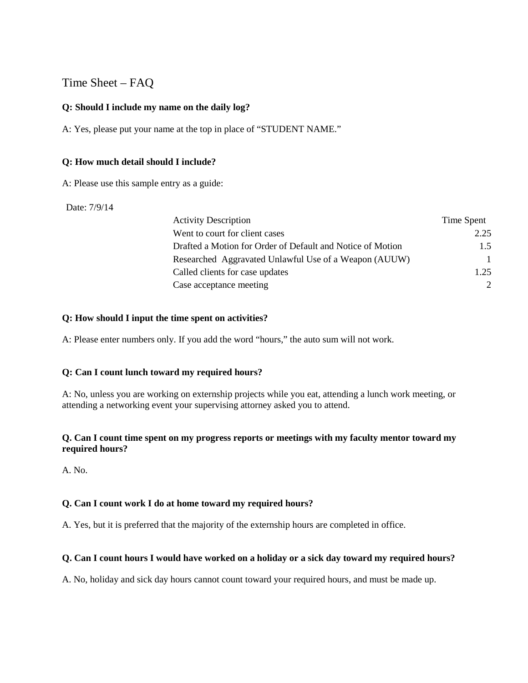# Time Sheet – FAQ

### **Q: Should I include my name on the daily log?**

A: Yes, please put your name at the top in place of "STUDENT NAME."

#### **Q: How much detail should I include?**

A: Please use this sample entry as a guide:

#### Date: 7/9/14

| <b>Activity Description</b>                                | Time Spent |
|------------------------------------------------------------|------------|
| Went to court for client cases                             | 2.25       |
| Drafted a Motion for Order of Default and Notice of Motion | 1.5        |
| Researched Aggravated Unlawful Use of a Weapon (AUUW)      | 1          |
| Called clients for case updates                            | 1.25       |
| Case acceptance meeting                                    |            |

### **Q: How should I input the time spent on activities?**

A: Please enter numbers only. If you add the word "hours," the auto sum will not work.

#### **Q: Can I count lunch toward my required hours?**

A: No, unless you are working on externship projects while you eat, attending a lunch work meeting, or attending a networking event your supervising attorney asked you to attend.

### **Q. Can I count time spent on my progress reports or meetings with my faculty mentor toward my required hours?**

A. No.

## **Q. Can I count work I do at home toward my required hours?**

A. Yes, but it is preferred that the majority of the externship hours are completed in office.

## **Q. Can I count hours I would have worked on a holiday or a sick day toward my required hours?**

A. No, holiday and sick day hours cannot count toward your required hours, and must be made up.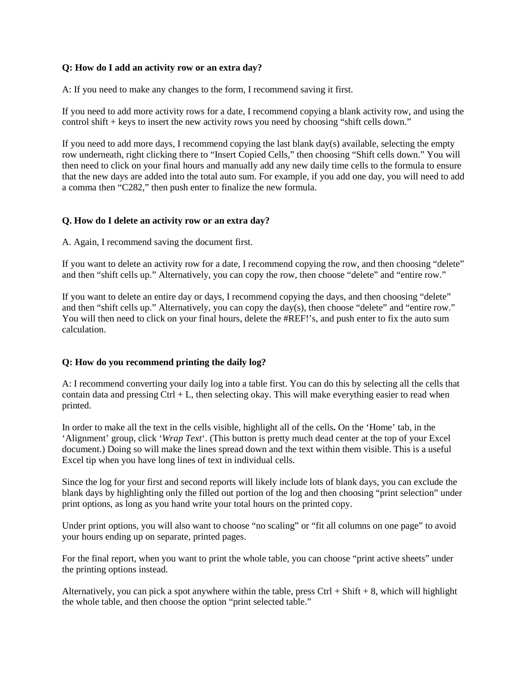#### **Q: How do I add an activity row or an extra day?**

A: If you need to make any changes to the form, I recommend saving it first.

If you need to add more activity rows for a date, I recommend copying a blank activity row, and using the control shift + keys to insert the new activity rows you need by choosing "shift cells down."

If you need to add more days, I recommend copying the last blank day(s) available, selecting the empty row underneath, right clicking there to "Insert Copied Cells," then choosing "Shift cells down." You will then need to click on your final hours and manually add any new daily time cells to the formula to ensure that the new days are added into the total auto sum. For example, if you add one day, you will need to add a comma then "C282," then push enter to finalize the new formula.

### **Q. How do I delete an activity row or an extra day?**

A. Again, I recommend saving the document first.

If you want to delete an activity row for a date, I recommend copying the row, and then choosing "delete" and then "shift cells up." Alternatively, you can copy the row, then choose "delete" and "entire row."

If you want to delete an entire day or days, I recommend copying the days, and then choosing "delete" and then "shift cells up." Alternatively, you can copy the day(s), then choose "delete" and "entire row." You will then need to click on your final hours, delete the #REF!'s, and push enter to fix the auto sum calculation.

## **Q: How do you recommend printing the daily log?**

A: I recommend converting your daily log into a table first. You can do this by selecting all the cells that contain data and pressing  $Ctrl + L$ , then selecting okay. This will make everything easier to read when printed.

In order to make all the text in the cells visible, highlight all of the cells**.** On the 'Home' tab, in the 'Alignment' group, click '*Wrap Text*'. (This button is pretty much dead center at the top of your Excel document.) Doing so will make the lines spread down and the text within them visible. This is a useful Excel tip when you have long lines of text in individual cells.

Since the log for your first and second reports will likely include lots of blank days, you can exclude the blank days by highlighting only the filled out portion of the log and then choosing "print selection" under print options, as long as you hand write your total hours on the printed copy.

Under print options, you will also want to choose "no scaling" or "fit all columns on one page" to avoid your hours ending up on separate, printed pages.

For the final report, when you want to print the whole table, you can choose "print active sheets" under the printing options instead.

Alternatively, you can pick a spot anywhere within the table, press  $Ctrl + Shift + 8$ , which will highlight the whole table, and then choose the option "print selected table."